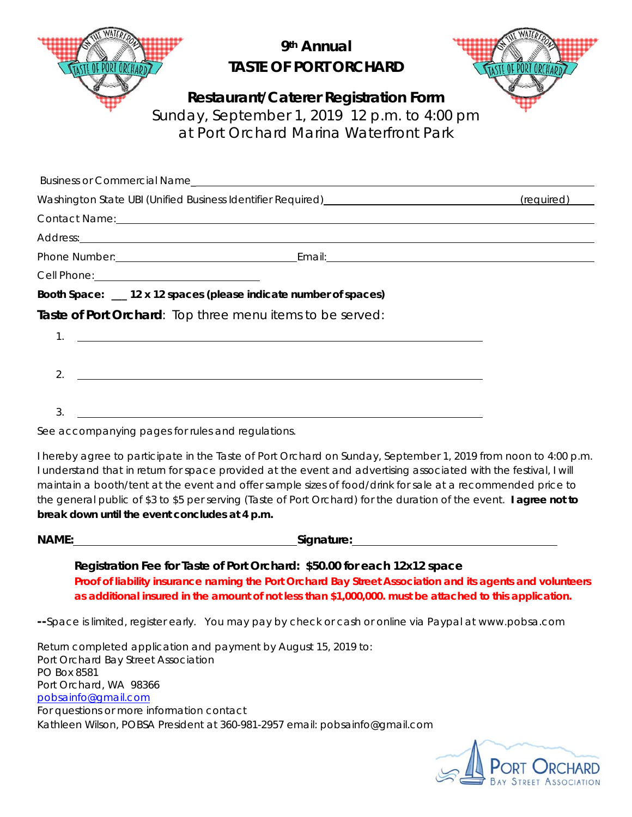|         | 9 <sup>th</sup> Annual<br><b>TASTE OF PORT ORCHARD</b>                                                                                                                                                                         |  |
|---------|--------------------------------------------------------------------------------------------------------------------------------------------------------------------------------------------------------------------------------|--|
|         | <b>Restaurant/Caterer Registration Form</b><br>Sunday, September 1, 2019 12 p.m. to 4:00 pm<br>at Port Orchard Marina Waterfront Park                                                                                          |  |
|         |                                                                                                                                                                                                                                |  |
|         |                                                                                                                                                                                                                                |  |
|         |                                                                                                                                                                                                                                |  |
|         |                                                                                                                                                                                                                                |  |
|         | Phone Number: 1990 March 2010 March 2010 March 2010 March 2010 March 2010 March 2010 March 2010 March 2010 March 2010 March 2010 March 2010 March 2010 March 2010 March 2010 March 2010 March 2010 March 2010 March 2010 March |  |
|         |                                                                                                                                                                                                                                |  |
|         | Booth Space: __ 12 x 12 spaces (please indicate number of spaces)                                                                                                                                                              |  |
|         | Taste of Port Orchard: Top three menu items to be served:                                                                                                                                                                      |  |
| $1_{-}$ | <u> 1989 - Johann Stoff, deutscher Stoffen und der Stoffen und der Stoffen und der Stoffen und der Stoffen und de</u>                                                                                                          |  |
| 2.      |                                                                                                                                                                                                                                |  |
| 3.      |                                                                                                                                                                                                                                |  |

See accompanying pages for rules and regulations.

I hereby agree to participate in the Taste of Port Orchard on Sunday, September 1, 2019 from noon to 4:00 p.m. I understand that in return for space provided at the event and advertising associated with the festival, I will maintain a booth/tent at the event and offer sample sizes of food/drink for sale at a recommended price to the general public of \$3 to \$5 per serving (Taste of Port Orchard) for the duration of the event. **I agree not to break down until the event concludes at 4 p.m.** 

**NAME:** Signature:

**Registration Fee for Taste of Port Orchard: \$50.00 for each 12x12 space Proof of liability insurance naming the Port Orchard Bay Street Association and its agents and volunteers as additional insured in the amount of not less than \$1,000,000. must be attached to this application.** 

**--**Space is limited, register early. You may pay by check or cash or online via Paypal at www.pobsa.com

Return completed application and payment by August 15, 2019 to: Port Orchard Bay Street Association PO Box 8581 Port Orchard, WA 98366 pobsainfo@gmail.com For questions or more information contact Kathleen Wilson, POBSA President at 360-981-2957 email: pobsainfo@gmail.com

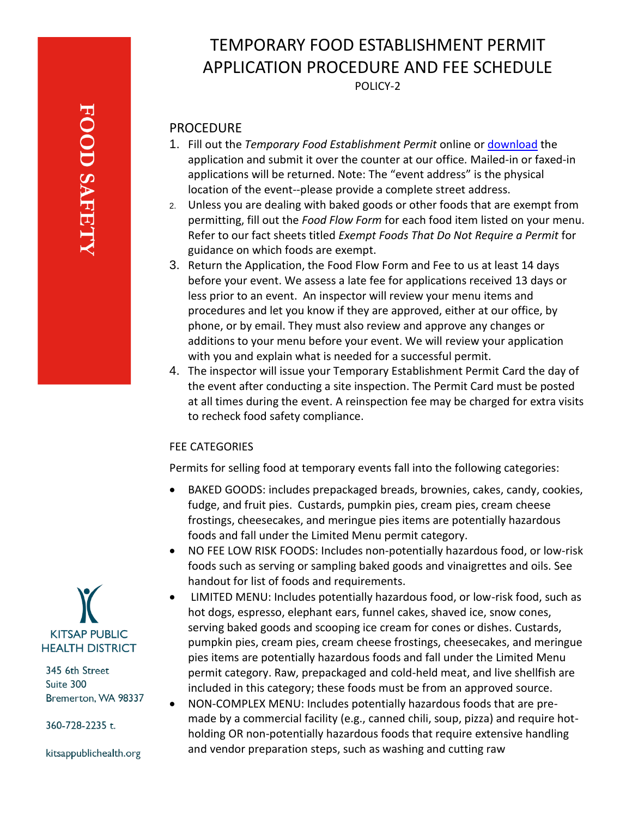# TEMPORARY FOOD ESTABLISHMENT PERMIT APPLICATION PROCEDURE AND FEE SCHEDULE

POLICY-2

## PROCEDURE

- 1. Fill out the *Temporary Food Establishment Permit* online or [download](../../Forms%20and%20Applications/Temporary%20Food%20Establishment%20Permit%20Application.pdf) the application and submit it over the counter at our office*.* Mailed-in or faxed-in applications will be returned. Note: The "event address" is the physical location of the event--please provide a complete street address.
- 2. Unless you are dealing with baked goods or other foods that are exempt from permitting, fill out the *Food Flow Form* for each food item listed on your menu. Refer to our fact sheets titled *Exempt Foods That Do Not Require a Permit* for guidance on which foods are exempt.
- 3. Return the Application, the Food Flow Form and Fee to us at least 14 days before your event. We assess a late fee for applications received 13 days or less prior to an event. An inspector will review your menu items and procedures and let you know if they are approved, either at our office, by phone, or by email. They must also review and approve any changes or additions to your menu before your event. We will review your application with you and explain what is needed for a successful permit.
- 4. The inspector will issue your Temporary Establishment Permit Card the day of the event after conducting a site inspection. The Permit Card must be posted at all times during the event. A reinspection fee may be charged for extra visits to recheck food safety compliance.

### FEE CATEGORIES

Permits for selling food at temporary events fall into the following categories:

- BAKED GOODS: includes prepackaged breads, brownies, cakes, candy, cookies, fudge, and fruit pies. Custards, pumpkin pies, cream pies, cream cheese frostings, cheesecakes, and meringue pies items are potentially hazardous foods and fall under the Limited Menu permit category.
- NO FEE LOW RISK FOODS: Includes non-potentially hazardous food, or low-risk foods such as serving or sampling baked goods and vinaigrettes and oils. See handout for list of foods and requirements.
- LIMITED MENU: Includes potentially hazardous food, or low-risk food, such as hot dogs, espresso, elephant ears, funnel cakes, shaved ice, snow cones, serving baked goods and scooping ice cream for cones or dishes. Custards, pumpkin pies, cream pies, cream cheese frostings, cheesecakes, and meringue pies items are potentially hazardous foods and fall under the Limited Menu permit category. Raw, prepackaged and cold-held meat, and live shellfish are included in this category; these foods must be from an approved source.
- NON-COMPLEX MENU: Includes potentially hazardous foods that are premade by a commercial facility (e.g., canned chili, soup, pizza) and require hotholding OR non-potentially hazardous foods that require extensive handling and vendor preparation steps, such as washing and cutting raw



345 6th Street Suite 300 Bremerton, WA 98337

360-728-2235 t.

kitsappublichealth.org